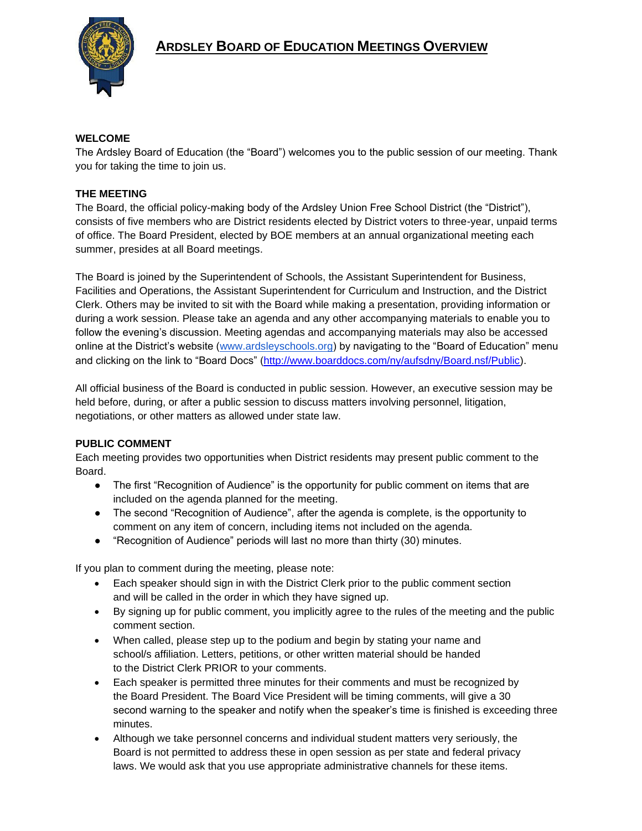

## **WELCOME**

The Ardsley Board of Education (the "Board") welcomes you to the public session of our meeting. Thank you for taking the time to join us.

## **THE MEETING**

The Board, the official policy-making body of the Ardsley Union Free School District (the "District"), consists of five members who are District residents elected by District voters to three-year, unpaid terms of office. The Board President, elected by BOE members at an annual organizational meeting each summer, presides at all Board meetings.

The Board is joined by the Superintendent of Schools, the Assistant Superintendent for Business, Facilities and Operations, the Assistant Superintendent for Curriculum and Instruction, and the District Clerk. Others may be invited to sit with the Board while making a presentation, providing information or during a work session. Please take an agenda and any other accompanying materials to enable you to follow the evening's discussion. Meeting agendas and accompanying materials may also be accessed online at the District's website [\(www.ardsleyschools.org\)](http://www.ardsleyschools.org/) by navigating to the "Board of Education" menu and clicking on the link to "Board Docs" [\(http://www.boarddocs.com/ny/aufsdny/Board.nsf/Public\)](http://www.boarddocs.com/ny/aufsdny/Board.nsf/Public).

All official business of the Board is conducted in public session. However, an executive session may be held before, during, or after a public session to discuss matters involving personnel, litigation, negotiations, or other matters as allowed under state law.

## **PUBLIC COMMENT**

Each meeting provides two opportunities when District residents may present public comment to the Board.

- The first "Recognition of Audience" is the opportunity for public comment on items that are included on the agenda planned for the meeting.
- The second "Recognition of Audience", after the agenda is complete, is the opportunity to comment on any item of concern, including items not included on the agenda.
- "Recognition of Audience" periods will last no more than thirty (30) minutes.

If you plan to comment during the meeting, please note:

- Each speaker should sign in with the District Clerk prior to the public comment section and will be called in the order in which they have signed up.
- By signing up for public comment, you implicitly agree to the rules of the meeting and the public comment section.
- When called, please step up to the podium and begin by stating your name and school/s affiliation. Letters, petitions, or other written material should be handed to the District Clerk PRIOR to your comments.
- Each speaker is permitted three minutes for their comments and must be recognized by the Board President. The Board Vice President will be timing comments, will give a 30 second warning to the speaker and notify when the speaker's time is finished is exceeding three minutes.
- Although we take personnel concerns and individual student matters very seriously, the Board is not permitted to address these in open session as per state and federal privacy laws. We would ask that you use appropriate administrative channels for these items.